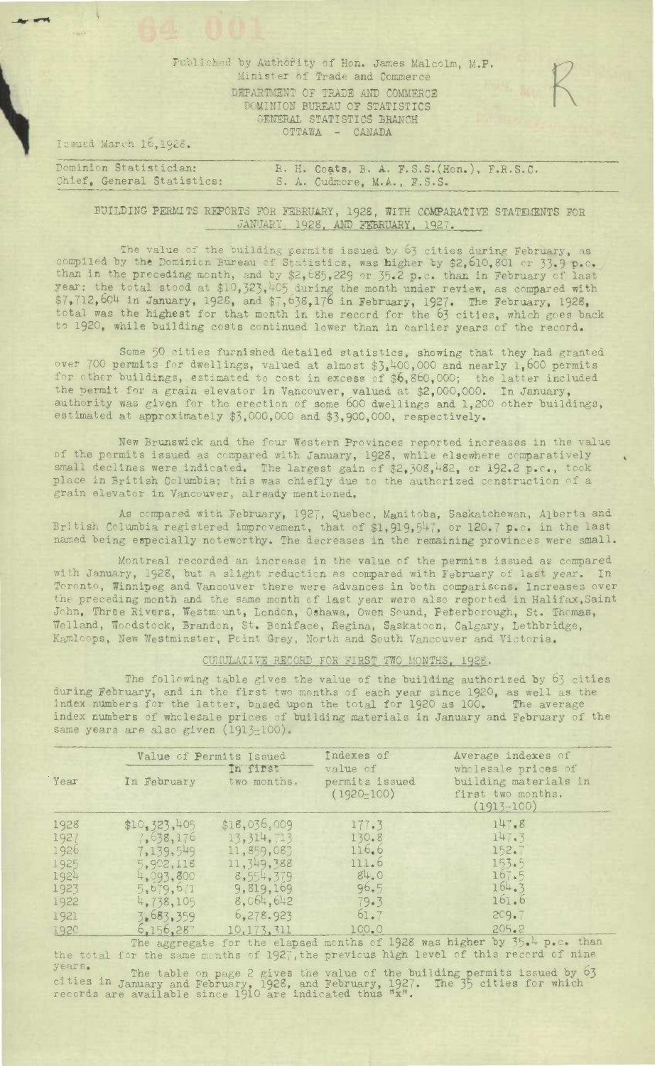Published by Authority of Hon. James Malcolm, M.P. Minister of Trade and Commerce DEPARTMENT OF TRADE AND COMMERCE DOMINION BUREAU OF STATISTICS GENERAL STATISTICS BRANCH OTTAVA - CANADA

Issued March 16,1928.

| Dominion Statistician:     |  | the contract in the change of the continues of the continues are as a set of the continues of the continues of the continues of the continues of the continues of the continues of the continues of the continues of the conti<br>R. H. Coats, B. A. F.S.S. (Hon.), F.R.S.C. |
|----------------------------|--|------------------------------------------------------------------------------------------------------------------------------------------------------------------------------------------------------------------------------------------------------------------------------|
| Chief, General Statistics: |  | S. A. Cudmore, M.A., F.S.S.                                                                                                                                                                                                                                                  |

BUILDING PERMITS REPORTS FOR FEBRUARY, 1928, WITH COMPARATIVE STATEMENTS FOR JANUARY, 1928, AND FEBRUARY, 1927.

The value of the building permits issued by 63 cities during February, as compiled by the Dominion Bureau of Statistics, was higher by \$2,610,801 or 33.9 p.c. than in the preceding month, and by \$2,685,229 or 35.2 p.c. than in February of last year: the total stood. at \$10,323,4C5 during the month under review, as compared with  $\frac{3}{7}$ , (12,604 in January, 1928, and  $\frac{2}{7}$ , 638,176 in February, 1927. The February, 1928, total was the highest for that month in the record for the 63 cities, which goes back to 1920, while building costs continued lower than in earlier years of the record.

Some 50 cities furnished detailed statistics, showing that they had granted over 700 permits for dwellings, valued at almost \$3,400,000 and nearly 1,600 permits for other buildings, estimated to cost in excess of \$6,860,000; the latter included the permit for a grain elevator in Vancouver, valued at \$2,000,000. In January, authority was given for the erection of some 600 dwellings and 1,200 other buildings, estimated at approximately \$3,000,000 and \$3,900,000, respectively.

New Brunswick and the four Western Provinces reported increases in the value of the permits issued as compared with January, 1928, while elsewhere comparatively small declines were indicated. The largest gain of \$2,308,482, or 192.2 p.c., took place in British Columbia; this was chiefly due to the authorized ccnstruction of a grain elevator in Vancouver, already mentioned.

As ccmpared with February, 1927, quebec, Manitoba, Saskatchewan, Alberta and British Columbia registered improvement, that of \$1,919,547, or 120.7 p.c. in the last named being especially noteworthy. The decreases in the remaining provinces were small.

Montreal recorded an increase in the value of the permits issued as compared with January, 1928, but a slight reduction as compared with February of last year. In Toronto, Winnipeg and Vancouver there were advances in both comparisons. Increases over the preceding month and the same month of last year were also reported in Halifax, Saint John, Three Rivers, Westmcunt, Londcn, Oshawa, Owen Sound, Peterborough, St. Thomas, Welland, Woodstock, Brandon, St. Boniface, Regina, Saskatoon, Calgary, Lethbridge, Kamloops, New Westminster, Pcint Grey, North and South Vancouver and Victoria.

## CUMULATIVE RECORD FOR FIRST TWO MONTHS, 1928.

The following table gives the value of the building authorized by  $63$  cities during February, and in the first two months of each year since 1920, as well as the index numbers for the latter, based upon the total for 1920 as 100. The average index numbers of wholesale prices of building materials in January and February of the same years are also given  $(1913<sub>1</sub>100)$ .

|      | Value of Permits Issued |                         | Indexes of                                   | Average indexes of                                                                                                                                     |  |
|------|-------------------------|-------------------------|----------------------------------------------|--------------------------------------------------------------------------------------------------------------------------------------------------------|--|
| Year | In February             | In first<br>two months. | value of<br>permits issued<br>$(1920 - 100)$ | wholesale prices of<br>building materials in<br>first two months.<br>$(1913 - 100)$                                                                    |  |
| 1928 | \$10, 323, 405          | \$18,036,009            | 177.3                                        | 147.8                                                                                                                                                  |  |
| 1927 | 7.638,176               | 13, 314, 713            | 130.8                                        | 147.3                                                                                                                                                  |  |
| 1926 | 7,139,549               | 11,859,087              | 116.6                                        | 152.7                                                                                                                                                  |  |
| 1925 | 5,902,118               | 11, 349, 388            | 111.6                                        | 153.5                                                                                                                                                  |  |
| 1924 | 4,093,800               | 8,554,379               | 84.0                                         | 167.5                                                                                                                                                  |  |
| 1923 | 5,679,671               | 9,819,169               | 96.5                                         | 164.3                                                                                                                                                  |  |
| 1922 | 4,738,105               | 8,064,642               | 79.3                                         | 161.6                                                                                                                                                  |  |
| 1921 | 3.683.359               | 6,278.923               | 61.7                                         | $209 - 7$                                                                                                                                              |  |
| 1920 | 6.156.287               | 10, 173, 311            | 100.0                                        | 205.2<br>$m_{\alpha}$ and $c_{\alpha}$ the $\alpha$ and $c_{\alpha}$ in $\alpha$ in $\alpha$ is $\alpha$ is the set of $\alpha$ is the set of $\alpha$ |  |

The aggregate for the elapsed months of 1928 was higher by  $55$ . the total for the same months of 1927, the previous high level of this record of nine years. The table on page 2 gives the value of the building permits issued by 63 cities in January and February, 1928, and February, 1927. The 35 cities for which records are available since 1910 are indicated thus "x".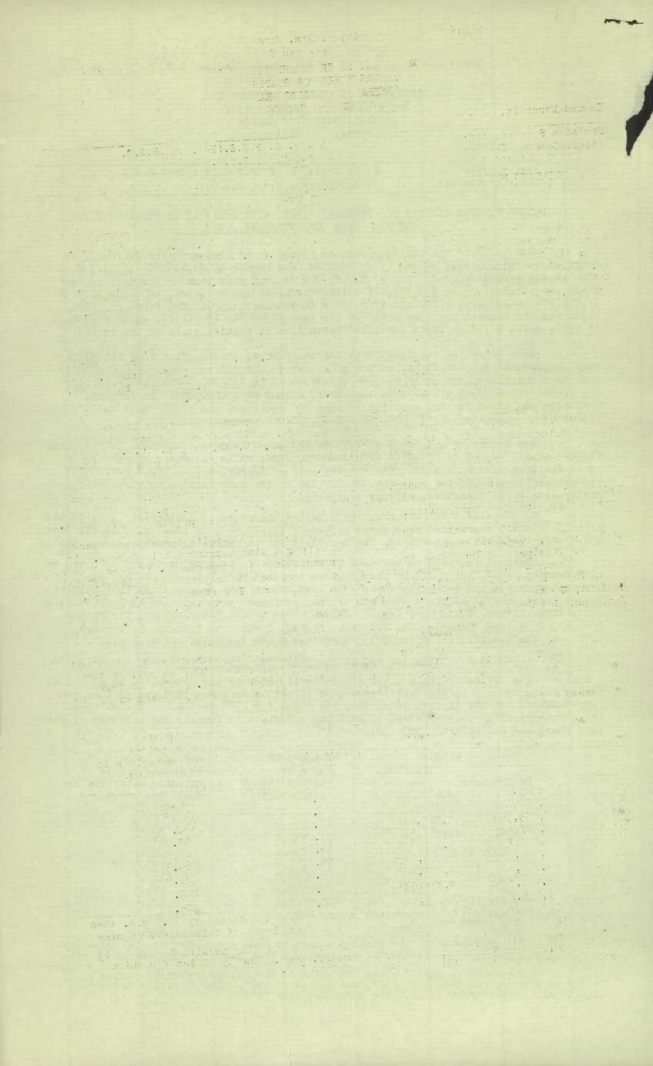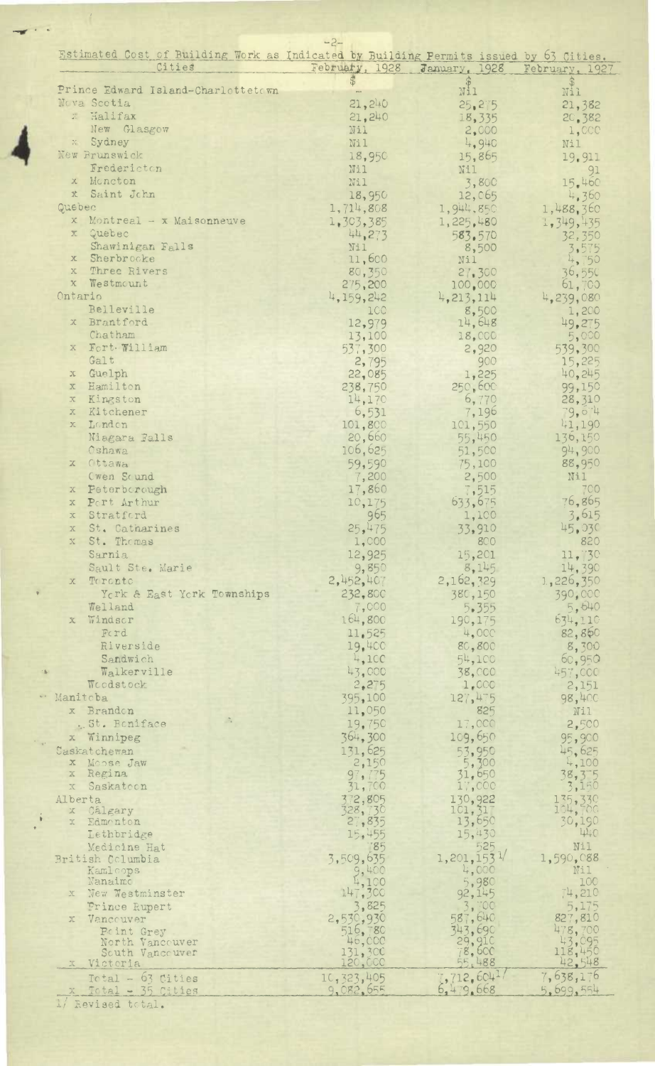| Estimated Cost of Building Work as Indicated by Building Permits issued by 63 Cities.<br>Cities | $ -$                      |                        |                        |
|-------------------------------------------------------------------------------------------------|---------------------------|------------------------|------------------------|
|                                                                                                 | February, 1928            | January, 1928          | February, 1927         |
| Prince Edward Island-Charlottetown                                                              |                           | Nil                    | Nil                    |
| Neva Scotia                                                                                     | 21,240                    | 25.275                 | 21,382                 |
| $\mathbb{R}^+$<br>Halifax<br>New Glasgow                                                        | 21,240<br>Nil             | 18,335<br>2,000        | 20,382                 |
| Sydney<br>$\mathbb{X}^-$                                                                        | Nil                       | 4,940                  | 1,ccc<br>Nil           |
| New Prunswick                                                                                   | 18,950                    | 15,865                 | 19.911                 |
| Fredericton                                                                                     | Nil                       | Nil                    | 91                     |
| x Moncton                                                                                       | Nil                       | 3,800                  | 15.460                 |
| Saint Jchn<br>$\mathbf{x}$                                                                      | 18,950                    | 12,065                 | 4,360                  |
| Quebec                                                                                          | 1,714,808                 | 1, 941, 850            | 1,488,360              |
| x Montreal - x Maisonneuve<br>Quebec<br>X                                                       | 1,303,385<br>44,273       | 1,225,480<br>583.570   | 1,349,435              |
| Shawinigan Falls                                                                                | Nil                       | 8,500                  | 32,350<br>3,575        |
| Sherbrocke<br>X                                                                                 | 11,600                    | Nil                    | 4,750                  |
| Three Rivers<br>X                                                                               | 80,350                    | 27,300                 | 36,550                 |
| Westmount<br>X<br>Ontario                                                                       | 275,200<br>4, 159, 242    | 100,000                | 61,700                 |
| Belleville                                                                                      | 1 <sub>CC</sub>           | 4, 213, 114<br>8,500   | 4,239,080<br>1,200     |
| x Brantford                                                                                     | 12,979                    | 14,648                 | 49,275                 |
| Chatham                                                                                         | 13,100                    | 18,000                 | 5,000                  |
| Fort-William<br>X                                                                               | 537,300                   | 2,920                  | 539,300                |
| Galt                                                                                            | 2,795                     | 900                    | 15,225                 |
| Guelph<br>X<br>Hamilton<br>$\mathbb{X}$                                                         | 22,085<br>238,750         | 1,225<br>250,600       | 40,245<br>99,150       |
| Kingston<br>$\mathbb X$                                                                         | 14,170                    | 6,770                  | 28,310                 |
| Kitchener<br>X                                                                                  | 6,531                     | 7,196                  | 79,0.4                 |
| London<br>X                                                                                     | 101,800                   | 101,550                | 41,190                 |
| Niagara Falls                                                                                   | 20,660                    | 55,450                 | 136,150                |
| Cshawa                                                                                          | 106,625                   | 51,500                 | 94,900                 |
| x Ottawa<br>Cwen Sound                                                                          | 59,590<br>7,200           | 75,100<br>2,500        | 88,950<br>Nil          |
| Feterborough<br>X                                                                               | 17,860                    | 7,515                  | 700                    |
| Port Arthur<br>X                                                                                | 10,175                    | 633,675                | 76,865                 |
| Stratford<br>$\mathbf{x}$                                                                       | 965                       | 1,100                  | 3,615                  |
| $\mathbb X$<br>St. Catharines                                                                   | 25,475                    | 33,910                 | 45,030                 |
| St. Thomas<br>$\mathbf{x}$                                                                      | 1,000                     | 800                    | 820                    |
| Sarnia<br>Sault Ste. Marie                                                                      | 12,925<br>9,850           | 15,201<br>8,145        | 11,730                 |
| Terente<br>X                                                                                    | 2,452,407                 | 2,162,329              | 14,390<br>1,226,350    |
| York & East York Townships                                                                      | 232,800                   | 380,150                | 390,000                |
| Welland                                                                                         | 7,000                     | 5.355                  | 5,640                  |
| Windscr<br>x                                                                                    | 164,800                   | 190,175                | 634,110                |
| Ford                                                                                            | 11,525                    | 4,000                  | 82,860                 |
| Riverside<br>Sandwich                                                                           | 19,400<br>4,100           | 80,800<br>54,100       | 8,300                  |
| Walkerville                                                                                     | 43,000                    | 38,000                 | 60,950<br>457,000      |
| Woodstock                                                                                       | 2,275                     | 1.000                  | 2,151                  |
| Manitoba                                                                                        | 395,100                   | 127,475                | 98,400                 |
| x Brandon                                                                                       | 11,050                    | 825                    | Nil                    |
| St. Boniface                                                                                    | 19,750                    | 17,000                 | 2,500                  |
| x Winnipeg                                                                                      | 364, 300                  | 109,650                | 95,900                 |
| Saskatchewan<br>x Moose Jaw                                                                     | 131,625<br>2,150          | 53,950<br>5,300        | 45,625<br>4,100        |
| x Regina                                                                                        | 97,775                    | 31,650                 | 38, 3-5                |
| Saskatcon<br>X                                                                                  | 31,700                    | 17,000                 |                        |
| Alberta<br>x Cálgary                                                                            | 372,805<br>328,730        | 130,922<br>$101, 31^-$ | $135,330$<br>$154,700$ |
| x Edmonton                                                                                      | 27,835                    | 13,650                 | 30,190                 |
| Lethbridge                                                                                      | 15,455                    | 15,430                 | 440                    |
| Medicine Hat                                                                                    | 85                        | 525                    | Ni1                    |
| British Columbia<br>Kamlcops                                                                    | 3,509,635<br>9.400        | 1,201,1534<br>4,000    | 1,590,088<br>Nil       |
| Nanaimo                                                                                         | 4,100                     | 5,980                  | 100                    |
| New Westminster<br>X                                                                            | 147,300                   | 92,145                 | 74,210                 |
| Frince Rupert                                                                                   | 3,825                     | 3,700                  | 5,175                  |
| Vancouver<br>$\mathbf{x}$<br>Point Grey                                                         | 2,530,930<br>516.780      | 587,640<br>343,690     | 827,810<br>478,700     |
| North Vancouver                                                                                 | 46, CCC                   | 29,91C                 | 43.095                 |
| South Vancouver                                                                                 | 131,300<br>120,000        | 8,600                  | 118,450                |
| Victoria<br>$\mathbf{x}$                                                                        |                           | 55,488                 | 42.548                 |
| $Total - 63 \; Cities$<br>Total - 35 Cities                                                     | 1C, 323, 405<br>9,082,655 | 712,6041/<br>6,479,668 | 7,638,176<br>5.699.554 |
|                                                                                                 |                           |                        |                        |

1/ Revised total.